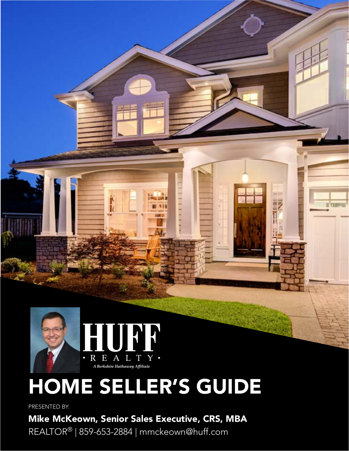

# HOME SELLER'S GUIDE

**NIE** 

#### PRESENTED BY:

Mike McKeown, Senior Sales Executive, CRS, MBA

REALTOR® | 859-653-2884 | mmckeown@huff.com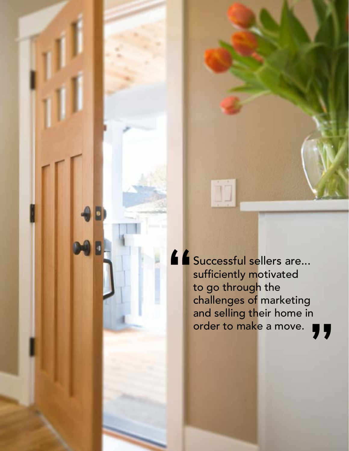**"**

Mike McKeown, HUFF Realty | SELLER'S GUIDE TO REAL ESTATE

Successful sellers are... sufficiently motivated to go through the challenges of marketing and selling their home in order to make a move. **"**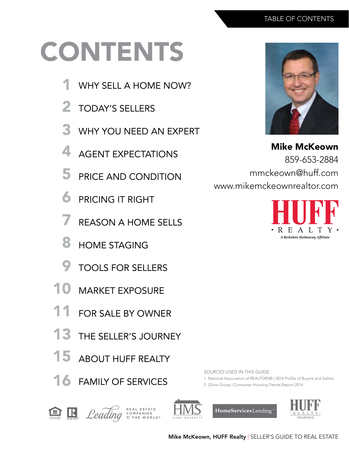# CONTENTS

- WHY SELL A HOME NOW? 1
- TODAY'S SELLERS 2
- WHY YOU NEED AN EXPERT 3
- AGENT EXPECTATIONS 4
- PRICE AND CONDITION 5
- PRICING IT RIGHT 6
- REASON A HOME SELLS 7
- HOME STAGING 8
- TOOLS FOR SELLERS 9
- MARKET EXPOSURE 10
- FOR SALE BY OWNER 11
- THE SELLER'S JOURNEY 13
- ABOUT HUFF REALTY 15
- 16 FAMILY OF SERVICES



Mike McKeown 859-653-2884 mmckeown@huff.com www.mikemckeownrealtor.com



SOURCES USED IN THIS GUIDE:

1 National Association of REALTORS® | 2016 Profile of Buyers and Sellers

2 Zillow Group | Consumer Housing Trends Report 2016







HomeServices Lending



Mike McKeown, HUFF Realty | SELLER'S GUIDE TO REAL ESTATE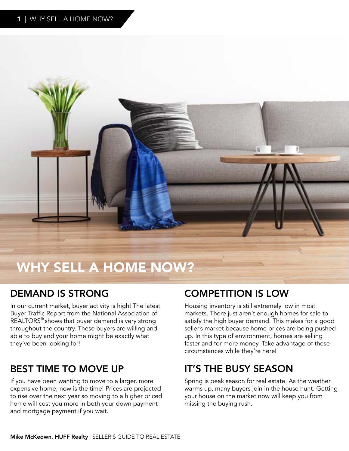

## WHY SELL A HOME NOW?

#### DEMAND IS STRONG

In our current market, buyer activity is high! The latest Buyer Traffic Report from the National Association of REALTORS® shows that buyer demand is very strong throughout the country. These buyers are willing and able to buy and your home might be exactly what they've been looking for!

#### BEST TIME TO MOVE UP

If you have been wanting to move to a larger, more expensive home, now is the time! Prices are projected to rise over the next year so moving to a higher priced home will cost you more in both your down payment and mortgage payment if you wait.

#### COMPETITION IS LOW

Housing inventory is still extremely low in most markets. There just aren't enough homes for sale to satisfy the high buyer demand. This makes for a good seller's market because home prices are being pushed up. In this type of environment, homes are selling faster and for more money. Take advantage of these circumstances while they're here!

#### IT'S THE BUSY SEASON

Spring is peak season for real estate. As the weather warms up, many buyers join in the house hunt. Getting your house on the market now will keep you from missing the buying rush.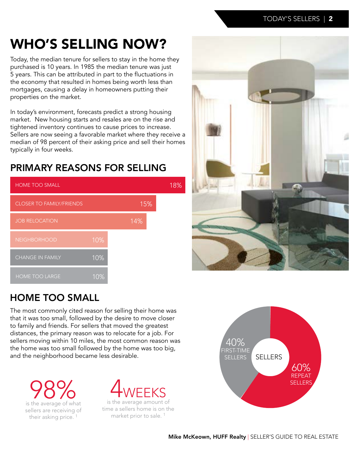## WHO'S SELLING NOW?

Today, the median tenure for sellers to stay in the home they purchased is 10 years. In 1985 the median tenure was just 5 years. This can be attributed in part to the fluctuations in the economy that resulted in homes being worth less than mortgages, causing a delay in homeowners putting their properties on the market.

In today's environment, forecasts predict a strong housing market. New housing starts and resales are on the rise and tightened inventory continues to cause prices to increase. Sellers are now seeing a favorable market where they receive a median of 98 percent of their asking price and sell their homes typically in four weeks.

### PRIMARY REASONS FOR SELLING





#### HOME TOO SMALL

The most commonly cited reason for selling their home was that it was too small, followed by the desire to move closer to family and friends. For sellers that moved the greatest distances, the primary reason was to relocate for a job. For sellers moving within 10 miles, the most common reason was the home was too small followed by the home was too big, and the neighborhood became less desirable.

**98%** sellers are receiving of their asking price.<sup>1</sup>



is the average amount of time a sellers home is on the market prior to sale. 1

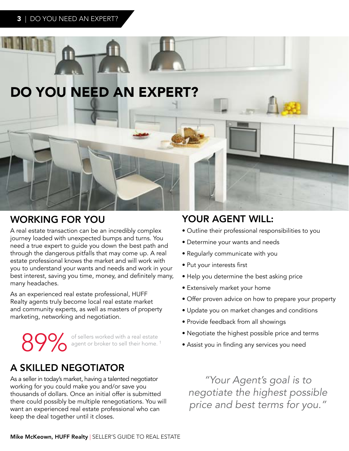

#### WORKING FOR YOU YOUR AGENT WILL:

A real estate transaction can be an incredibly complex journey loaded with unexpected bumps and turns. You need a true expert to guide you down the best path and through the dangerous pitfalls that may come up. A real estate professional knows the market and will work with you to understand your wants and needs and work in your best interest, saving you time, money, and definitely many, many headaches.

As an experienced real estate professional, HUFF Realty agents truly become local real estate market and community experts, as well as masters of property marketing, networking and negotiation.

89% of sellers worked with a real estate agent or broker to sell their home.<sup>1</sup>

#### A SKILLED NEGOTIATOR

As a seller in today's market, having a talented negotiator working for you could make you and/or save you thousands of dollars. Once an initial offer is submitted there could possibly be multiple renegotiations. You will want an experienced real estate professional who can keep the deal together until it closes.

- Outline their professional responsibilities to you
- Determine your wants and needs
- Regularly communicate with you
- Put your interests first
- Help you determine the best asking price
- Extensively market your home
- Offer proven advice on how to prepare your property
- Update you on market changes and conditions
- Provide feedback from all showings
- Negotiate the highest possible price and terms
- Assist you in finding any services you need

*"Your Agent's goal is to negotiate the highest possible price and best terms for you."*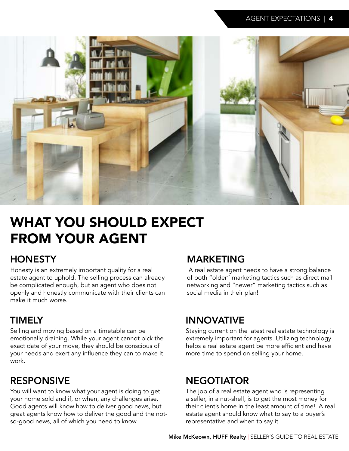

## WHAT YOU SHOULD EXPECT FROM YOUR AGENT

#### **HONESTY**

Honesty is an extremely important quality for a real estate agent to uphold. The selling process can already be complicated enough, but an agent who does not openly and honestly communicate with their clients can make it much worse.

#### TIMELY

Selling and moving based on a timetable can be emotionally draining. While your agent cannot pick the exact date of your move, they should be conscious of your needs and exert any influence they can to make it work.

#### RESPONSIVE

You will want to know what your agent is doing to get your home sold and if, or when, any challenges arise. Good agents will know how to deliver good news, but great agents know how to deliver the good and the notso-good news, all of which you need to know.

#### MARKETING

 A real estate agent needs to have a strong balance of both "older" marketing tactics such as direct mail networking and "newer" marketing tactics such as social media in their plan!

#### INNOVATIVE

Staying current on the latest real estate technology is extremely important for agents. Utilizing technology helps a real estate agent be more efficient and have more time to spend on selling your home.

#### NEGOTIATOR

The job of a real estate agent who is representing a seller, in a nut-shell, is to get the most money for their client's home in the least amount of time! A real estate agent should know what to say to a buyer's representative and when to say it.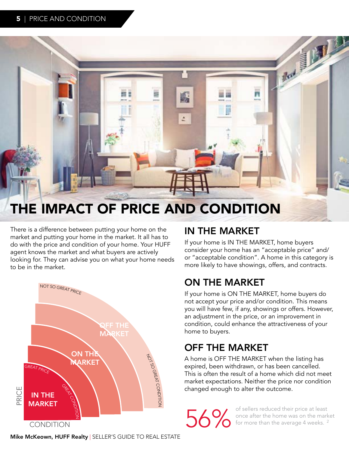

## THE IMPACT OF PRICE AND CONDITION

There is a difference between putting your home on the market and putting your home in the market. It all has to do with the price and condition of your home. Your HUFF agent knows the market and what buyers are actively looking for. They can advise you on what your home needs to be in the market.



#### IN THE MARKET

If your home is IN THE MARKET, home buyers consider your home has an "acceptable price" and/ or "acceptable condition". A home in this category is more likely to have showings, offers, and contracts.

#### ON THE MARKET

If your home is ON THE MARKET, home buyers do not accept your price and/or condition. This means you will have few, if any, showings or offers. However, an adjustment in the price, or an improvement in condition, could enhance the attractiveness of your home to buyers.

### OFF THE MARKET

A home is OFF THE MARKET when the listing has expired, been withdrawn, or has been cancelled. This is often the result of a home which did not meet market expectations. Neither the price nor condition changed enough to alter the outcome.

of sellers reduced their price at least<br>Some after the home was on the mark<br>of for more than the average 4 weeks.<sup>2</sup> once after the home was on the market for more than the average 4 weeks.<sup>2</sup>

Mike McKeown, HUFF Realty | SELLER'S GUIDE TO REAL ESTATE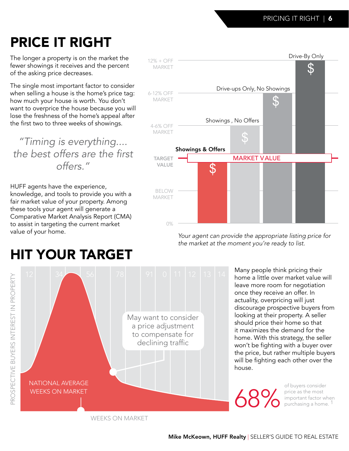## PRICE IT RIGHT

The longer a property is on the market the fewer showings it receives and the percent of the asking price decreases.

The single most important factor to consider when selling a house is the home's price tag: how much your house is worth. You don't want to overprice the house because you will lose the freshness of the home's appeal after the first two to three weeks of showings.

*"Timing is everything....* the best offers are the first *offers."*

HUFF agents have the experience, knowledge, and tools to provide you with a fair market value of your property. Among these tools your agent will generate a Comparative Market Analysis Report (CMA) to assist in targeting the current market value of your home.



*Your agent can provide the appropriate listing price for the market at the moment you're ready to list.*

> Many people think pricing their home a little over market value will leave more room for negotiation once they receive an offer. In actuality, overpricing will just discourage prospective buyers from looking at their property. A seller should price their home so that it maximizes the demand for the home. With this strategy, the seller won't be fighting with a buyer over the price, but rather multiple buyers will be fighting each other over the house.

68%

of buyers consider price as the most important factor when purchasing a home. 1

## HIT YOUR TARGET



WEEKS ON MARKET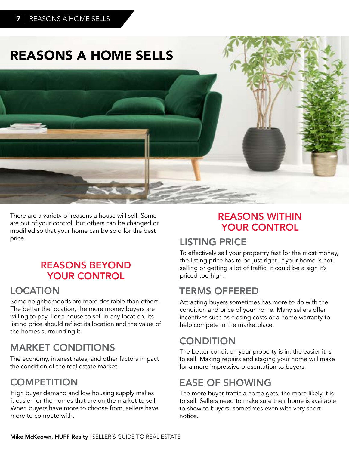## REASONS A HOME SELLS



There are a variety of reasons a house will sell. Some are out of your control, but others can be changed or modified so that your home can be sold for the best price.

#### REASONS BEYOND YOUR CONTROL

#### LOCATION

Some neighborhoods are more desirable than others. The better the location, the more money buyers are willing to pay. For a house to sell in any location, its listing price should reflect its location and the value of the homes surrounding it.

#### MARKET CONDITIONS

The economy, interest rates, and other factors impact the condition of the real estate market.

#### **COMPETITION**

High buyer demand and low housing supply makes it easier for the homes that are on the market to sell. When buyers have more to choose from, sellers have more to compete with.

#### REASONS WITHIN YOUR CONTROL

#### LISTING PRICE

To effectively sell your propertry fast for the most money, the listing price has to be just right. If your home is not selling or getting a lot of traffic, it could be a sign it's priced too high.

#### TERMS OFFERED

Attracting buyers sometimes has more to do with the condition and price of your home. Many sellers offer incentives such as closing costs or a home warranty to help compete in the marketplace.

#### **CONDITION**

The better condition your property is in, the easier it is to sell. Making repairs and staging your home will make for a more impressive presentation to buyers.

### EASE OF SHOWING

The more buyer traffic a home gets, the more likely it is to sell. Sellers need to make sure their home is available to show to buyers, sometimes even with very short notice.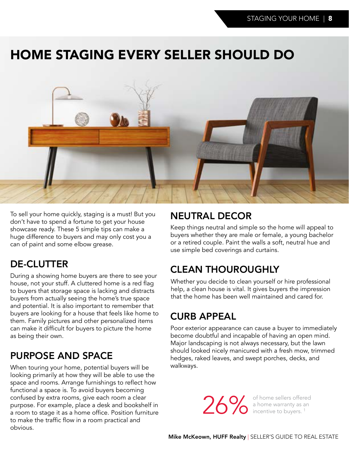## HOME STAGING EVERY SELLER SHOULD DO



To sell your home quickly, staging is a must! But you don't have to spend a fortune to get your house showcase ready. These 5 simple tips can make a huge difference to buyers and may only cost you a can of paint and some elbow grease.

#### DE-CLUTTER

During a showing home buyers are there to see your house, not your stuff. A cluttered home is a red flag to buyers that storage space is lacking and distracts buyers from actually seeing the home's true space and potential. It is also important to remember that buyers are looking for a house that feels like home to them. Family pictures and other personalized items can make it difficult for buyers to picture the home as being their own.

#### PURPOSE AND SPACE

When touring your home, potential buyers will be looking primarily at how they will be able to use the space and rooms. Arrange furnishings to reflect how functional a space is. To avoid buyers becoming confused by extra rooms, give each room a clear purpose. For example, place a desk and bookshelf in a room to stage it as a home office. Position furniture to make the traffic flow in a room practical and obvious.

#### NEUTRAL DECOR

Keep things neutral and simple so the home will appeal to buyers whether they are male or female, a young bachelor or a retired couple. Paint the walls a soft, neutral hue and use simple bed coverings and curtains.

### CLEAN THOUROUGHLY

Whether you decide to clean yourself or hire professional help, a clean house is vital. It gives buyers the impression that the home has been well maintained and cared for.

#### CURB APPEAL

Poor exterior appearance can cause a buyer to immediately become doubtful and incapable of having an open mind. Major landscaping is not always necessary, but the lawn should looked nicely manicured with a fresh mow, trimmed hedges, raked leaves, and swept porches, decks, and walkways.

26% of home sellers offered<br>a home warranty as an<br>incentive to buyers.<sup>1</sup> a home warranty as an incentive to buyers.<sup>1</sup>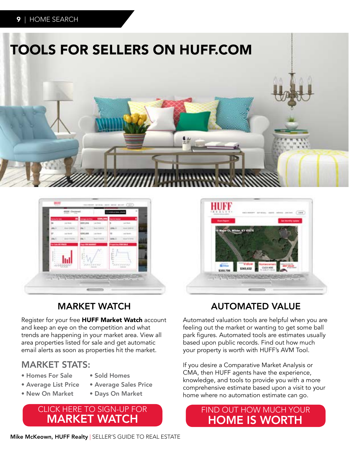



#### MARKET WATCH

Register for your free HUFF Market Watch account and keep an eye on the competition and what trends are happening in your market area. View all area properties listed for sale and get automatic email alerts as soon as properties hit the market.

#### MARKET STATS:

- Homes For Sale
- Average List Price
- Average Sales Price

• Sold Homes

- New On Market
- Days On Market

#### CLICK HERE TO SIGN-UP FOR MARKET WATCH



#### AUTOMATED VALUE

Automated valuation tools are helpful when you are feeling out the market or wanting to get some ball park figures. Automated tools are estimates usually based upon public records. Find out how much your property is worth with HUFF's AVM Tool.

If you desire a Comparative Market Analysis or CMA, then HUFF agents have the experience, knowledge, and tools to provide you with a more comprehensive estimate based upon a visit to your home where no automation estimate can go.

#### FIND OUT HOW MUCH YOUR HOME IS WORTH

Mike McKeown, HUFF Realty | SELLER'S GUIDE TO REAL ESTATE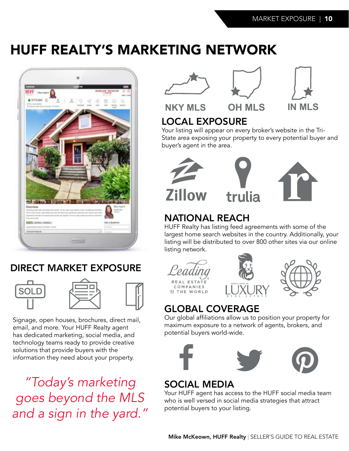## HUFF REALTY'S MARKETING NETWORK



#### DIRECT MARKET EXPOSURE





Signage, open houses, brochures, direct mail, email, and more. Your HUFF Realty agent has dedicated marketing, social media, and technology teams ready to provide creative solutions that provide buyers with the information they need about your property.

*"Today's marketing goes beyond the MLS and a sign in the yard."*







**NKY MLS OH MLS IN MLS**

### LOCAL EXPOSURE

Your listing will appear on every broker's website in the Tri-State area exposing your property to every potential buyer and buyer's agent in the area.





#### NATIONAL REACH

HUFF Realty has listing feed agreements with some of the largest home search websites in the country. Additionally, your listing will be distributed to over 800 other sites via our online listing network.





### GLOBAL COVERAGE

Our global affiliations allow us to position your property for maximum exposure to a network of agents, brokers, and potential buyers world-wide.



#### SOCIAL MEDIA

Your HUFF agent has access to the HUFF social media team who is well versed in social media strategies that attract potential buyers to your listing.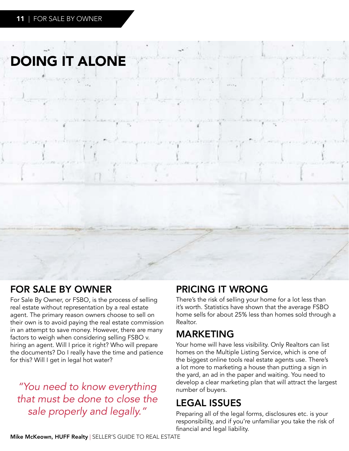## DOING IT ALONE

#### FOR SALE BY OWNER

For Sale By Owner, or FSBO, is the process of selling real estate without representation by a real estate agent. The primary reason owners choose to sell on their own is to avoid paying the real estate commission in an attempt to save money. However, there are many factors to weigh when considering selling FSBO v. hiring an agent. Will I price it right? Who will prepare the documents? Do I really have the time and patience for this? Will I get in legal hot water?

*"You need to know everything that must be done to close the sale properly and legally."*

#### PRICING IT WRONG

There's the risk of selling your home for a lot less than it's worth. Statistics have shown that the average FSBO home sells for about 25% less than homes sold through a Realtor.

#### MARKETING

Your home will have less visibility. Only Realtors can list homes on the Multiple Listing Service, which is one of the biggest online tools real estate agents use. There's a lot more to marketing a house than putting a sign in the yard, an ad in the paper and waiting. You need to develop a clear marketing plan that will attract the largest number of buyers.

#### LEGAL ISSUES

Preparing all of the legal forms, disclosures etc. is your responsibility, and if you're unfamiliar you take the risk of financial and legal liability.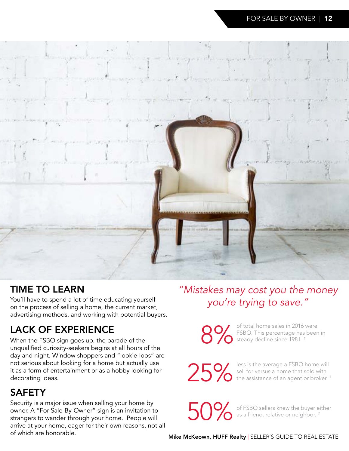

#### TIME TO LEARN

*you're trying to save."* You'll have to spend a lot of time educating yourself on the process of selling a home, the current market, advertising methods, and working with potential buyers.

### LACK OF EXPERIENCE

When the FSBO sign goes up, the parade of the unqualified curiosity-seekers begins at all hours of the day and night. Window shoppers and "lookie-loos" are not serious about looking for a home but actually use it as a form of entertainment or as a hobby looking for decorating ideas.

#### SAFETY

Security is a major issue when selling your home by owner. A "For-Sale-By-Owner" sign is an invitation to strangers to wander through your home. People will arrive at your home, eager for their own reasons, not all of which are honorable.

# *"Mistakes may cost you the money*

of total home sales in 2016 were<br>FSBO. This percentage has been<br>steady decline since 1981.<sup>1</sup> FSBO. This percentage has been in steady decline since 1981. <sup>1</sup>

25% less is the average a FSBO home will<br>sell for versus a home that sold with<br>the assistance of an agent or broker.<sup>1</sup> sell for versus a home that sold with the assistance of an agent or broker.<sup>1</sup>

50% of FSBO sellers knew the buyer either<br>as a friend, relative or neighbor.<sup>2</sup> as a friend, relative or neighbor.<sup>2</sup>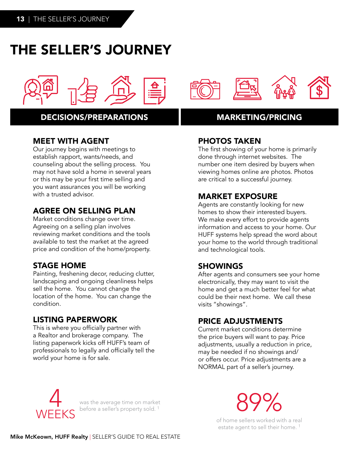## THE SELLER'S JOURNEY



#### DECISIONS/PREPARATIONS MARKETING/PRICING

#### MEET WITH AGENT

Our journey begins with meetings to establish rapport, wants/needs, and counseling about the selling process. You may not have sold a home in several years or this may be your first time selling and you want assurances you will be working with a trusted advisor.

#### AGREE ON SELLING PLAN

Market conditions change over time. Agreeing on a selling plan involves reviewing market conditions and the tools available to test the market at the agreed price and condition of the home/property.

#### STAGE HOME

Painting, freshening decor, reducing clutter, landscaping and ongoing cleanliness helps sell the home. You cannot change the location of the home. You can change the condition.

#### LISTING PAPERWORK

This is where you officially partner with a Realtor and brokerage company. The listing paperwork kicks off HUFF's team of professionals to legally and officially tell the world your home is for sale.



#### PHOTOS TAKEN

The first showing of your home is primarily done through internet websites. The number one item desired by buyers when viewing homes online are photos. Photos are critical to a successful journey.

#### MARKET EXPOSURE

Agents are constantly looking for new homes to show their interested buyers. We make every effort to provide agents information and access to your home. Our HUFF systems help spread the word about your home to the world through traditional and technological tools.

#### SHOWINGS

After agents and consumers see your home electronically, they may want to visit the home and get a much better feel for what could be their next home. We call these visits "showings".

#### PRICE ADJUSTMENTS

Current market conditions determine the price buyers will want to pay. Price adjustments, usually a reduction in price, may be needed if no showings and/ or offers occur. Price adjustments are a NORMAL part of a seller's journey.



was the average time on market was the average time on market<br>before a seller's property sold. <sup>1</sup> 89 and the seller's property sold. <sup>1</sup>

of home sellers worked with a real estate agent to sell their home.<sup>1</sup>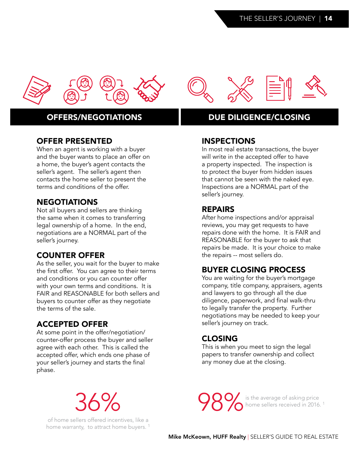

#### OFFER PRESENTED

When an agent is working with a buyer and the buyer wants to place an offer on a home, the buyer's agent contacts the seller's agent. The seller's agent then contacts the home seller to present the terms and conditions of the offer.

#### **NEGOTIATIONS**

Not all buyers and sellers are thinking the same when it comes to transferring legal ownership of a home. In the end, negotiations are a NORMAL part of the seller's journey.

#### COUNTER OFFER

As the seller, you wait for the buyer to make the first offer. You can agree to their terms and conditions or you can counter offer with your own terms and conditions. It is FAIR and REASONABLE for both sellers and buyers to counter offer as they negotiate the terms of the sale.

#### ACCEPTED OFFER

At some point in the offer/negotiation/ counter-offer process the buyer and seller agree with each other. This is called the accepted offer, which ends one phase of your seller's journey and starts the final phase.

36%

of home sellers offered incentives, like a home warranty, to attract home buyers.<sup>1</sup>

#### OFFERS/NEGOTIATIONS DUE DILIGENCE/CLOSING

#### INSPECTIONS

In most real estate transactions, the buyer will write in the accepted offer to have a property inspected. The inspection is to protect the buyer from hidden issues that cannot be seen with the naked eye. Inspections are a NORMAL part of the seller's journey.

#### REPAIRS

After home inspections and/or appraisal reviews, you may get requests to have repairs done with the home. It is FAIR and REASONABLE for the buyer to ask that repairs be made. It is your choice to make the repairs -- most sellers do.

#### BUYER CLOSING PROCESS

You are waiting for the buyer's mortgage company, title company, appraisers, agents and lawyers to go through all the due diligence, paperwork, and final walk-thru to legally transfer the property. Further negotiations may be needed to keep your seller's journey on track.

#### CLOSING

This is when you meet to sign the legal papers to transfer ownership and collect any money due at the closing.

**98%** is the average of asking price<br>home sellers received in 2016. home sellers received in 2016.<sup>1</sup>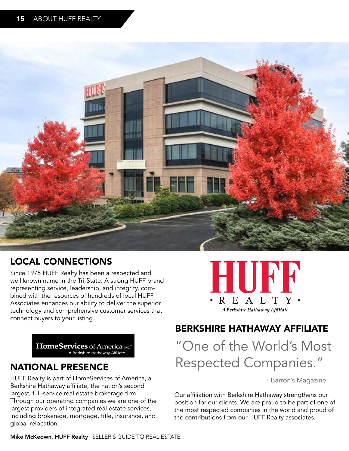

#### LOCAL CONNECTIONS

Since 1975 HUFF Realty has been a respected and well known name in the Tri-State. A strong HUFF brand representing service, leadership, and integrity, combined with the resources of hundreds of local HUFF Associates enhances our ability to deliver the superior technology and comprehensive customer services that connect buyers to your listing.

HomeServices of America, INC."

#### NATIONAL PRESENCE

HUFF Realty is part of HomeServices of America, a Berkshire Hathaway affiliate, the nation's second largest, full-service real estate brokerage firm. Through our operating companies we are one of the largest providers of integrated real estate services, including brokerage, mortgage, title, insurance, and global relocation.



#### BERKSHIRE HATHAWAY AFFILIATE

"One of the World's Most Respected Companies."

- Barron's Magazine

Our affiliation with Berkshire Hathaway strengthens our position for our clients. We are proud to be part of one of the most respected companies in the world and proud of the contributions from our HUFF Realty associates.